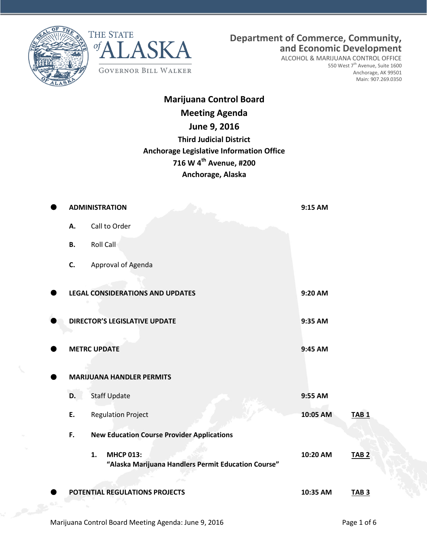



**Department of Commerce, Community, and Economic Development**

ALCOHOL & MARIJUANA CONTROL OFFICE 550 West 7<sup>th</sup> Avenue, Suite 1600 Anchorage, AK 99501 Main: 907.269.0350

## **Marijuana Control Board Meeting Agenda June 9, 2016 Third Judicial District Anchorage Legislative Information Office 716 W 4th Avenue, #200 Anchorage, Alaska**

|                                  | <b>ADMINISTRATION</b>                                                         | 9:15 AM  |                  |  |
|----------------------------------|-------------------------------------------------------------------------------|----------|------------------|--|
| А.                               | Call to Order                                                                 |          |                  |  |
| <b>B.</b>                        | Roll Call                                                                     |          |                  |  |
| C.                               | Approval of Agenda                                                            |          |                  |  |
|                                  | <b>LEGAL CONSIDERATIONS AND UPDATES</b>                                       | 9:20 AM  |                  |  |
|                                  | <b>DIRECTOR'S LEGISLATIVE UPDATE</b>                                          | 9:35 AM  |                  |  |
|                                  | <b>METRC UPDATE</b>                                                           | 9:45 AM  |                  |  |
| <b>MARIJUANA HANDLER PERMITS</b> |                                                                               |          |                  |  |
| D.                               | <b>Staff Update</b>                                                           | 9:55 AM  |                  |  |
| E.                               | <b>Regulation Project</b>                                                     | 10:05 AM | TAB <sub>1</sub> |  |
| F.                               | <b>New Education Course Provider Applications</b>                             |          |                  |  |
|                                  | <b>MHCP 013:</b><br>1.<br>"Alaska Marijuana Handlers Permit Education Course" | 10:20 AM | <b>TAB 2</b>     |  |
|                                  | POTENTIAL REGULATIONS PROJECTS                                                | 10:35 AM | TAB <sub>3</sub> |  |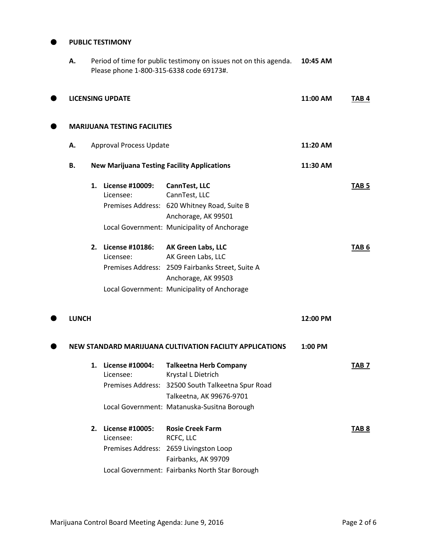## **PUBLIC TESTIMONY**

| А.           |                                | Period of time for public testimony on issues not on this agenda.<br>Please phone 1-800-315-6338 code 69173#. | 10:45 AM                                                                      |                  |                  |
|--------------|--------------------------------|---------------------------------------------------------------------------------------------------------------|-------------------------------------------------------------------------------|------------------|------------------|
|              | <b>LICENSING UPDATE</b>        |                                                                                                               | 11:00 AM                                                                      | TAB <sub>4</sub> |                  |
|              |                                | <b>MARIJUANA TESTING FACILITIES</b>                                                                           |                                                                               |                  |                  |
| Α.           | <b>Approval Process Update</b> |                                                                                                               | 11:20 AM                                                                      |                  |                  |
| В.           |                                |                                                                                                               | <b>New Marijuana Testing Facility Applications</b>                            | 11:30 AM         |                  |
|              | 1.                             | License #10009:<br>Licensee:                                                                                  | CannTest, LLC<br>CannTest, LLC                                                |                  | TAB <sub>5</sub> |
|              |                                |                                                                                                               | Premises Address: 620 Whitney Road, Suite B<br>Anchorage, AK 99501            |                  |                  |
|              |                                |                                                                                                               | Local Government: Municipality of Anchorage                                   |                  |                  |
|              | 2.                             | License #10186:<br>Licensee:                                                                                  | AK Green Labs, LLC<br>AK Green Labs, LLC                                      |                  | TAB <sub>6</sub> |
|              |                                |                                                                                                               | Premises Address: 2509 Fairbanks Street, Suite A<br>Anchorage, AK 99503       |                  |                  |
|              |                                |                                                                                                               | Local Government: Municipality of Anchorage                                   |                  |                  |
| <b>LUNCH</b> |                                |                                                                                                               |                                                                               | 12:00 PM         |                  |
|              |                                |                                                                                                               | NEW STANDARD MARIJUANA CULTIVATION FACILITY APPLICATIONS                      | 1:00 PM          |                  |
|              | 1.                             | <b>License #10004:</b><br>Licensee:                                                                           | <b>Talkeetna Herb Company</b><br>Krystal L Dietrich                           |                  | TAB <sub>7</sub> |
|              |                                |                                                                                                               | Premises Address: 32500 South Talkeetna Spur Road<br>Talkeetna, AK 99676-9701 |                  |                  |
|              |                                |                                                                                                               | Local Government: Matanuska-Susitna Borough                                   |                  |                  |
|              | 2.                             | License #10005:<br>Licensee:                                                                                  | <b>Rosie Creek Farm</b><br>RCFC, LLC                                          |                  | TAB <sub>8</sub> |
|              |                                | <b>Premises Address:</b>                                                                                      | 2659 Livingston Loop                                                          |                  |                  |
|              |                                |                                                                                                               |                                                                               |                  |                  |

Local Government: Fairbanks North Star Borough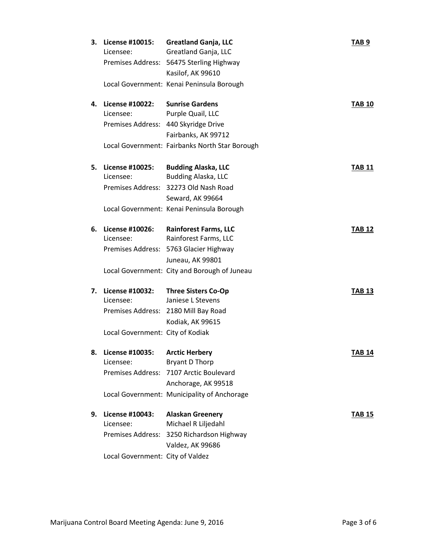| 3. | License #10015:<br>Licensee:     | <b>Greatland Ganja, LLC</b><br>Greatland Ganja, LLC | TAB <sub>9</sub> |
|----|----------------------------------|-----------------------------------------------------|------------------|
|    |                                  | Premises Address: 56475 Sterling Highway            |                  |
|    |                                  | Kasilof, AK 99610                                   |                  |
|    |                                  | Local Government: Kenai Peninsula Borough           |                  |
| 4. | License #10022: Sunrise Gardens  |                                                     | <b>TAB 10</b>    |
|    | Licensee:                        | Purple Quail, LLC                                   |                  |
|    |                                  | Premises Address: 440 Skyridge Drive                |                  |
|    |                                  | Fairbanks, AK 99712                                 |                  |
|    |                                  | Local Government: Fairbanks North Star Borough      |                  |
| 5. | License #10025:                  | <b>Budding Alaska, LLC</b>                          | <b>TAB 11</b>    |
|    | Licensee:                        | <b>Budding Alaska, LLC</b>                          |                  |
|    |                                  | Premises Address: 32273 Old Nash Road               |                  |
|    |                                  | Seward, AK 99664                                    |                  |
|    |                                  | Local Government: Kenai Peninsula Borough           |                  |
| 6. | License #10026:                  | <b>Rainforest Farms, LLC</b>                        | <b>TAB 12</b>    |
|    | Licensee:                        | Rainforest Farms, LLC                               |                  |
|    |                                  | Premises Address: 5763 Glacier Highway              |                  |
|    |                                  | Juneau, AK 99801                                    |                  |
|    |                                  | Local Government: City and Borough of Juneau        |                  |
| 7. | License #10032:                  | <b>Three Sisters Co-Op</b>                          | <b>TAB 13</b>    |
|    | Licensee:                        | Janiese L Stevens                                   |                  |
|    |                                  | Premises Address: 2180 Mill Bay Road                |                  |
|    |                                  | Kodiak, AK 99615                                    |                  |
|    | Local Government: City of Kodiak |                                                     |                  |
| 8. | License #10035:                  | <b>Arctic Herbery</b>                               | TAB 14           |
|    | Licensee:                        | <b>Bryant D Thorp</b>                               |                  |
|    |                                  | Premises Address: 7107 Arctic Boulevard             |                  |
|    |                                  | Anchorage, AK 99518                                 |                  |
|    |                                  | Local Government: Municipality of Anchorage         |                  |
| 9. | License #10043:                  | <b>Alaskan Greenery</b>                             | <b>TAB 15</b>    |
|    | Licensee:                        | Michael R Liljedahl                                 |                  |
|    |                                  | Premises Address: 3250 Richardson Highway           |                  |
|    |                                  | Valdez, AK 99686                                    |                  |
|    | Local Government: City of Valdez |                                                     |                  |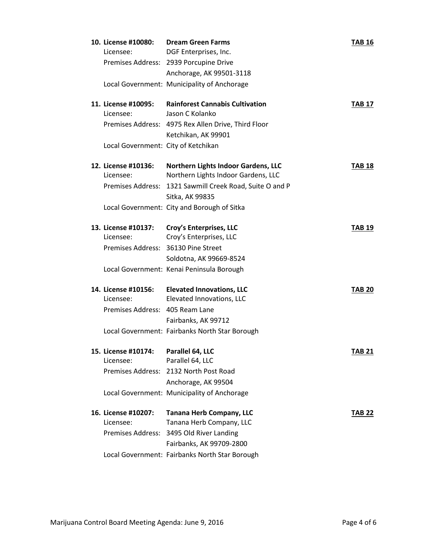| 10. License #10080:<br>Licensee:    | <b>Dream Green Farms</b><br>DGF Enterprises, Inc.                          | <b>TAB 16</b> |
|-------------------------------------|----------------------------------------------------------------------------|---------------|
|                                     | Premises Address: 2939 Porcupine Drive                                     |               |
|                                     | Anchorage, AK 99501-3118                                                   |               |
|                                     | Local Government: Municipality of Anchorage                                |               |
| 11. License #10095:                 | <b>Rainforest Cannabis Cultivation</b>                                     | TAB 17        |
| Licensee:                           | Jason C Kolanko                                                            |               |
|                                     | Premises Address: 4975 Rex Allen Drive, Third Floor                        |               |
|                                     | Ketchikan, AK 99901                                                        |               |
| Local Government: City of Ketchikan |                                                                            |               |
| 12. License #10136:<br>Licensee:    | Northern Lights Indoor Gardens, LLC<br>Northern Lights Indoor Gardens, LLC | <b>TAB 18</b> |
|                                     | Premises Address: 1321 Sawmill Creek Road, Suite O and P                   |               |
|                                     | Sitka, AK 99835                                                            |               |
|                                     | Local Government: City and Borough of Sitka                                |               |
| 13. License #10137:                 | Croy's Enterprises, LLC                                                    | TAB 19        |
| Licensee:                           | Croy's Enterprises, LLC                                                    |               |
| Premises Address: 36130 Pine Street |                                                                            |               |
|                                     | Soldotna, AK 99669-8524                                                    |               |
|                                     | Local Government: Kenai Peninsula Borough                                  |               |
| 14. License #10156:                 | <b>Elevated Innovations, LLC</b>                                           | <b>TAB 20</b> |
| Licensee:                           | Elevated Innovations, LLC                                                  |               |
| Premises Address: 405 Ream Lane     |                                                                            |               |
|                                     | Fairbanks, AK 99712                                                        |               |
|                                     | Local Government: Fairbanks North Star Borough                             |               |
| 15. License #10174:                 | Parallel 64, LLC                                                           | <b>TAB 21</b> |
| Licensee:                           | Parallel 64, LLC                                                           |               |
|                                     | Premises Address: 2132 North Post Road                                     |               |
|                                     | Anchorage, AK 99504                                                        |               |
|                                     | Local Government: Municipality of Anchorage                                |               |
| 16. License #10207:                 | <b>Tanana Herb Company, LLC</b>                                            | <b>TAB 22</b> |
| Licensee:                           | Tanana Herb Company, LLC                                                   |               |
|                                     | Premises Address: 3495 Old River Landing                                   |               |
|                                     | Fairbanks, AK 99709-2800                                                   |               |
|                                     | Local Government: Fairbanks North Star Borough                             |               |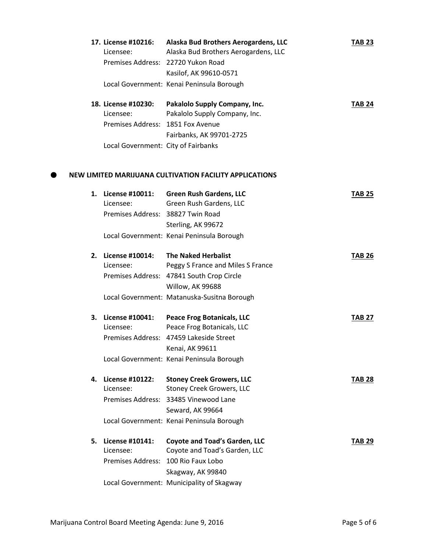|    | 17. License #10216:<br>Licensee:    | Alaska Bud Brothers Aerogardens, LLC<br>Alaska Bud Brothers Aerogardens, LLC | <b>TAB 23</b> |
|----|-------------------------------------|------------------------------------------------------------------------------|---------------|
|    |                                     | Premises Address: 22720 Yukon Road                                           |               |
|    |                                     | Kasilof, AK 99610-0571                                                       |               |
|    |                                     | Local Government: Kenai Peninsula Borough                                    |               |
|    | 18. License #10230:                 | Pakalolo Supply Company, Inc.                                                | <b>TAB 24</b> |
|    | Licensee:                           | Pakalolo Supply Company, Inc.                                                |               |
|    | Premises Address: 1851 Fox Avenue   |                                                                              |               |
|    |                                     | Fairbanks, AK 99701-2725                                                     |               |
|    | Local Government: City of Fairbanks |                                                                              |               |
|    |                                     | NEW LIMITED MARIJUANA CULTIVATION FACILITY APPLICATIONS                      |               |
| 1. | License #10011:                     | <b>Green Rush Gardens, LLC</b>                                               | <b>TAB 25</b> |
|    | Licensee:                           | Green Rush Gardens, LLC                                                      |               |
|    | Premises Address: 38827 Twin Road   |                                                                              |               |
|    |                                     | Sterling, AK 99672                                                           |               |
|    |                                     | Local Government: Kenai Peninsula Borough                                    |               |
| 2. | License #10014:                     | <b>The Naked Herbalist</b>                                                   | <b>TAB 26</b> |
|    | Licensee:                           | Peggy S France and Miles S France                                            |               |
|    |                                     | Premises Address: 47841 South Crop Circle                                    |               |
|    |                                     | Willow, AK 99688                                                             |               |
|    |                                     | Local Government: Matanuska-Susitna Borough                                  |               |
| 3. | License #10041:                     | <b>Peace Frog Botanicals, LLC</b>                                            | <b>TAB 27</b> |
|    | Licensee:                           | Peace Frog Botanicals, LLC                                                   |               |
|    |                                     | Premises Address: 47459 Lakeside Street                                      |               |
|    |                                     | Kenai, AK 99611                                                              |               |
|    |                                     | Local Government: Kenai Peninsula Borough                                    |               |
| 4. | License #10122:                     | <b>Stoney Creek Growers, LLC</b>                                             | <b>TAB 28</b> |
|    | Licensee:                           | <b>Stoney Creek Growers, LLC</b>                                             |               |
|    |                                     | Premises Address: 33485 Vinewood Lane                                        |               |
|    |                                     | Seward, AK 99664                                                             |               |
|    |                                     | Local Government: Kenai Peninsula Borough                                    |               |
| 5. | License #10141:                     | <b>Coyote and Toad's Garden, LLC</b>                                         | <b>TAB 29</b> |
|    | Licensee:                           | Coyote and Toad's Garden, LLC                                                |               |
|    | Premises Address: 100 Rio Faux Lobo |                                                                              |               |
|    |                                     | Skagway, AK 99840                                                            |               |
|    |                                     | Local Government: Municipality of Skagway                                    |               |